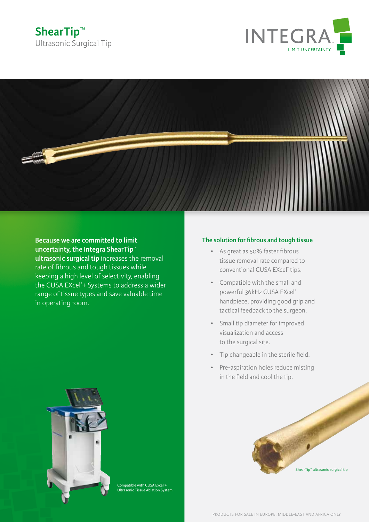# **ShearTip™** Ultrasonic Surgical Tip





**Because we are committed to limit uncertainty, the Integra ShearTip™ ultrasonic surgical tip** increases the removal rate of fibrous and tough tissues while keeping a high level of selectivity, enabling the CUSA EXcel® + Systems to address a wider range of tissue types and save valuable time in operating room.

### **The solution for fibrous and tough tissue**

- • As great as 50% faster fibrous tissue removal rate compared to conventional CUSA EXcel® tips.
- • Compatible with the small and powerful 36kHz CUSA EXcel® handpiece, providing good grip and tactical feedback to the surgeon.
- • Small tip diameter for improved visualization and access to the surgical site.
- • Tip changeable in the sterile field.
- • Pre-aspiration holes reduce misting in the field and cool the tip.



Compatible with CUSA Excel®+ Ultrasonic Tissue Ablation System